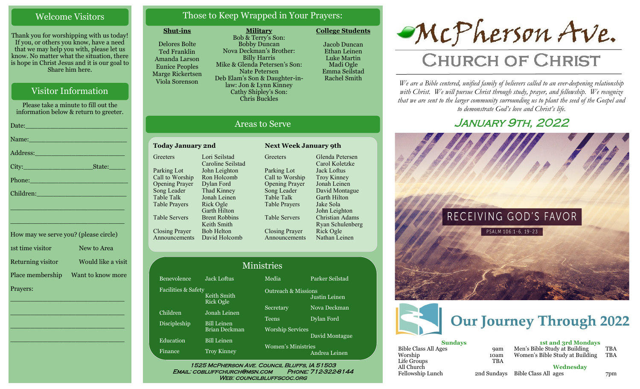## Welcome Visitors

Thank you for worshipping with us today! If you, or others you know, have a need that we may help you with, please let us know. No matter what the situation, there is hope in Christ Jesus and it is our goal to Share him here.

# Visitor Information

Please take a minute to fill out the information below & return to greeter.

|                                                                                                               | Name: Name and the second contract of the second contract of the second contract of the second contract of the  |
|---------------------------------------------------------------------------------------------------------------|-----------------------------------------------------------------------------------------------------------------|
|                                                                                                               | Address: 2008 - 2008 - 2010 - 2010 - 2010 - 2010 - 2010 - 2011 - 2012 - 2012 - 2012 - 2012 - 2012 - 2012 - 20   |
|                                                                                                               |                                                                                                                 |
| Phone: 2008 - 2008 - 2010 - 2010 - 2010 - 2011 - 2012 - 2012 - 2012 - 2012 - 2012 - 2012 - 2012 - 2014 - 2012 |                                                                                                                 |
|                                                                                                               |                                                                                                                 |
|                                                                                                               | the contract of the contract of the contract of the contract of the contract of the contract of the contract of |

| How may we serve you? (please circle) |                    |
|---------------------------------------|--------------------|
| 1st time visitor                      | New to Area        |
| Returning visitor                     | Would like a visit |
| Place membership                      | Want to know more  |
| Prayers:                              |                    |

\_\_\_\_\_\_\_\_\_\_\_\_\_\_\_\_\_\_\_\_\_\_\_\_\_\_\_\_

\_\_\_\_\_\_\_\_\_\_\_\_\_\_\_\_\_\_\_\_\_\_\_\_\_\_\_\_

\_\_\_\_\_\_\_\_\_\_\_\_\_\_\_\_\_\_\_\_\_\_\_\_\_\_\_\_

\_\_\_\_\_\_\_\_\_\_\_\_\_\_\_\_\_\_\_\_\_\_\_\_\_\_\_\_

\_\_\_\_\_\_\_\_\_\_\_\_\_\_\_\_\_\_\_\_\_\_\_\_\_\_\_\_

# Those to Keep Wrapped in Your Prayers:

**Military**

#### **Shut-ins**

Delores Bolte Ted Franklin Amanda Larson Eunice Peoples Marge Rickertsen Viola Sorenson

Bob & Terry's Son: Bobby Duncan Nova Deckman's Brother: Billy Harris Mike & Glenda Petersen's Son: Nate Petersen Deb Elam's Son & Daughter-inlaw: Jon & Lynn Kinney Cathy Shipley's Son: Chris Buckles

Jacob Duncan Ethan Leinen Luke Martin

**College Students** 



# Areas to Serve

| <b>Today January 2nd</b> |                      |  |
|--------------------------|----------------------|--|
| Greeters                 | Lori Seilstad        |  |
|                          | Caroline Seilstad    |  |
| Parking Lot              | John Leighton        |  |
| Call to Worship          | Ron Holcomb          |  |
| <b>Opening Prayer</b>    | Dylan Ford           |  |
| Song Leader              | Thad Kinney          |  |
| Table Talk               | Jonah Leinen         |  |
| Table Prayers            | Rick Ogle            |  |
|                          | <b>Garth Hilton</b>  |  |
| Table Servers            | <b>Brent Robbins</b> |  |
|                          | Keith Smith          |  |
| <b>Closing Prayer</b>    | <b>Bob Helton</b>    |  |
| Announcements            | David Holcomb        |  |
|                          |                      |  |

Faci

Disc

Edu Fina **Greeters** Parking Lot Call to Worship Opening Prayer Song Leader Table Talk Table Prayers Table Servers Closing Prayer Announcements Glenda Petersen Carol Koletzke Jack Loftus Troy Kinney Jonah Leinen David Montague Garth Hilton Jake Sola John Leighton Christian Adams Ryan Schulenberg Rick Ogle Nathan Leinen

**Next Week January 9th** 

|                     |                                     | <b>Ministries</b>                   |                 |
|---------------------|-------------------------------------|-------------------------------------|-----------------|
| Benevolence         | <b>Jack Loftus</b>                  | Media                               | Parker Seilstad |
| Facilities & Safety | Keith Smith<br>Rick Ogle            | <b>Outreach &amp; Missions</b>      | Justin Leinen   |
| Children            | Jonah Leinen                        | Secretary                           | Nova Deckman    |
| Discipleship        | <b>Bill Leinen</b>                  | <b>Teens</b>                        | Dylan Ford      |
| <b>Education</b>    | Brian Deckman<br><b>Bill Leinen</b> | <b>Worship Services</b>             | David Montague  |
| Finance             | <b>Troy Kinney</b>                  | Women's Ministries<br>Andrea Leinen |                 |

Email: cobluffchurch@msn.com Phone: 712-322-8144 WEB: COUNCILBLUFFSCOC.ORG

# McPherson Ave.

# **CHURCH OF CHRIST**

*We are a Bible centered, unified family of believers called to an ever-deepening relationship*  with Christ. We will pursue Christ through study, prayer, and fellowship. We recognize *that we are sent to the larger community surrounding us to plant the seed of the Gospel and to demonstrate God's love and Christ's life.*

# January 9th, 2022





| <b>Sundays</b>       |             |    |
|----------------------|-------------|----|
| Bible Class All Ages | <b>9am</b>  | N  |
| Worship              | 10am        | V١ |
| Life Groups          | <b>TBA</b>  |    |
| All Church           |             |    |
| Fellowship Lunch     | 2nd Sundays | B  |
|                      |             |    |

**1st and 3rd Mondays** Men's Bible Study at Building TBA Women's Bible Study at Building TBA

**Wednesday**

Bible Class All ages 7pm